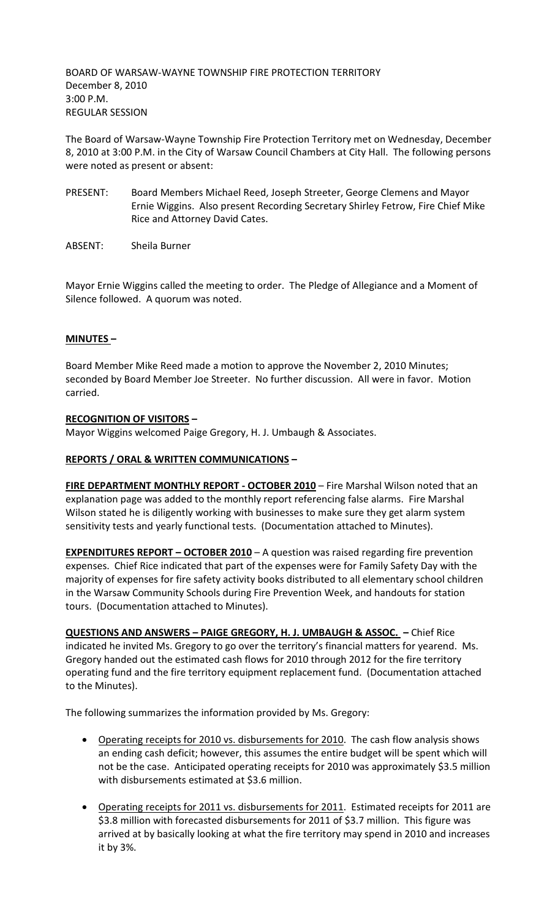BOARD OF WARSAW-WAYNE TOWNSHIP FIRE PROTECTION TERRITORY December 8, 2010 3:00 P.M. REGULAR SESSION

The Board of Warsaw-Wayne Township Fire Protection Territory met on Wednesday, December 8, 2010 at 3:00 P.M. in the City of Warsaw Council Chambers at City Hall. The following persons were noted as present or absent:

- PRESENT: Board Members Michael Reed, Joseph Streeter, George Clemens and Mayor Ernie Wiggins. Also present Recording Secretary Shirley Fetrow, Fire Chief Mike Rice and Attorney David Cates.
- ABSENT: Sheila Burner

Mayor Ernie Wiggins called the meeting to order. The Pledge of Allegiance and a Moment of Silence followed. A quorum was noted.

# **MINUTES –**

Board Member Mike Reed made a motion to approve the November 2, 2010 Minutes; seconded by Board Member Joe Streeter. No further discussion. All were in favor. Motion carried.

### **RECOGNITION OF VISITORS –**

Mayor Wiggins welcomed Paige Gregory, H. J. Umbaugh & Associates.

### **REPORTS / ORAL & WRITTEN COMMUNICATIONS –**

**FIRE DEPARTMENT MONTHLY REPORT - OCTOBER 2010** – Fire Marshal Wilson noted that an explanation page was added to the monthly report referencing false alarms. Fire Marshal Wilson stated he is diligently working with businesses to make sure they get alarm system sensitivity tests and yearly functional tests. (Documentation attached to Minutes).

**EXPENDITURES REPORT - OCTOBER 2010** - A question was raised regarding fire prevention expenses. Chief Rice indicated that part of the expenses were for Family Safety Day with the majority of expenses for fire safety activity books distributed to all elementary school children in the Warsaw Community Schools during Fire Prevention Week, and handouts for station tours. (Documentation attached to Minutes).

**QUESTIONS AND ANSWERS – PAIGE GREGORY, H. J. UMBAUGH & ASSOC. –** Chief Rice indicated he invited Ms. Gregory to go over the territory's financial matters for yearend. Ms. Gregory handed out the estimated cash flows for 2010 through 2012 for the fire territory operating fund and the fire territory equipment replacement fund. (Documentation attached to the Minutes).

The following summarizes the information provided by Ms. Gregory:

- Operating receipts for 2010 vs. disbursements for 2010. The cash flow analysis shows an ending cash deficit; however, this assumes the entire budget will be spent which will not be the case. Anticipated operating receipts for 2010 was approximately \$3.5 million with disbursements estimated at \$3.6 million.
- Operating receipts for 2011 vs. disbursements for 2011. Estimated receipts for 2011 are \$3.8 million with forecasted disbursements for 2011 of \$3.7 million. This figure was arrived at by basically looking at what the fire territory may spend in 2010 and increases it by 3%.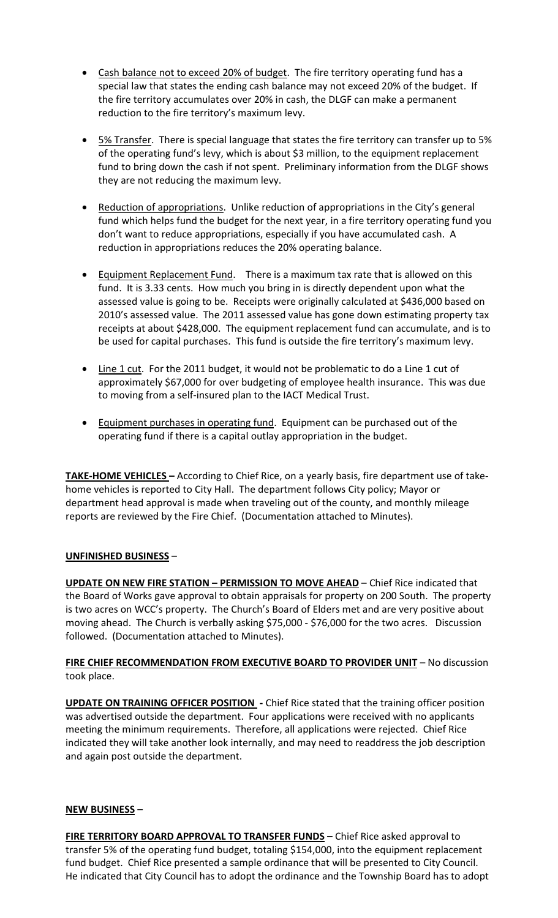- Cash balance not to exceed 20% of budget. The fire territory operating fund has a special law that states the ending cash balance may not exceed 20% of the budget. If the fire territory accumulates over 20% in cash, the DLGF can make a permanent reduction to the fire territory's maximum levy.
- 5% Transfer. There is special language that states the fire territory can transfer up to 5% of the operating fund's levy, which is about \$3 million, to the equipment replacement fund to bring down the cash if not spent. Preliminary information from the DLGF shows they are not reducing the maximum levy.
- Reduction of appropriations. Unlike reduction of appropriations in the City's general fund which helps fund the budget for the next year, in a fire territory operating fund you don't want to reduce appropriations, especially if you have accumulated cash. A reduction in appropriations reduces the 20% operating balance.
- Equipment Replacement Fund. There is a maximum tax rate that is allowed on this fund. It is 3.33 cents. How much you bring in is directly dependent upon what the assessed value is going to be. Receipts were originally calculated at \$436,000 based on 2010's assessed value. The 2011 assessed value has gone down estimating property tax receipts at about \$428,000. The equipment replacement fund can accumulate, and is to be used for capital purchases. This fund is outside the fire territory's maximum levy.
- Line 1 cut. For the 2011 budget, it would not be problematic to do a Line 1 cut of approximately \$67,000 for over budgeting of employee health insurance. This was due to moving from a self-insured plan to the IACT Medical Trust.
- Equipment purchases in operating fund. Equipment can be purchased out of the operating fund if there is a capital outlay appropriation in the budget.

**TAKE-HOME VEHICLES –** According to Chief Rice, on a yearly basis, fire department use of takehome vehicles is reported to City Hall. The department follows City policy; Mayor or department head approval is made when traveling out of the county, and monthly mileage reports are reviewed by the Fire Chief. (Documentation attached to Minutes).

# **UNFINISHED BUSINESS** –

**UPDATE ON NEW FIRE STATION – PERMISSION TO MOVE AHEAD** – Chief Rice indicated that the Board of Works gave approval to obtain appraisals for property on 200 South. The property is two acres on WCC's property. The Church's Board of Elders met and are very positive about moving ahead. The Church is verbally asking \$75,000 - \$76,000 for the two acres. Discussion followed. (Documentation attached to Minutes).

# **FIRE CHIEF RECOMMENDATION FROM EXECUTIVE BOARD TO PROVIDER UNIT** – No discussion took place.

**UPDATE ON TRAINING OFFICER POSITION** - Chief Rice stated that the training officer position was advertised outside the department. Four applications were received with no applicants meeting the minimum requirements. Therefore, all applications were rejected. Chief Rice indicated they will take another look internally, and may need to readdress the job description and again post outside the department.

# **NEW BUSINESS –**

**FIRE TERRITORY BOARD APPROVAL TO TRANSFER FUNDS –** Chief Rice asked approval to transfer 5% of the operating fund budget, totaling \$154,000, into the equipment replacement fund budget. Chief Rice presented a sample ordinance that will be presented to City Council. He indicated that City Council has to adopt the ordinance and the Township Board has to adopt